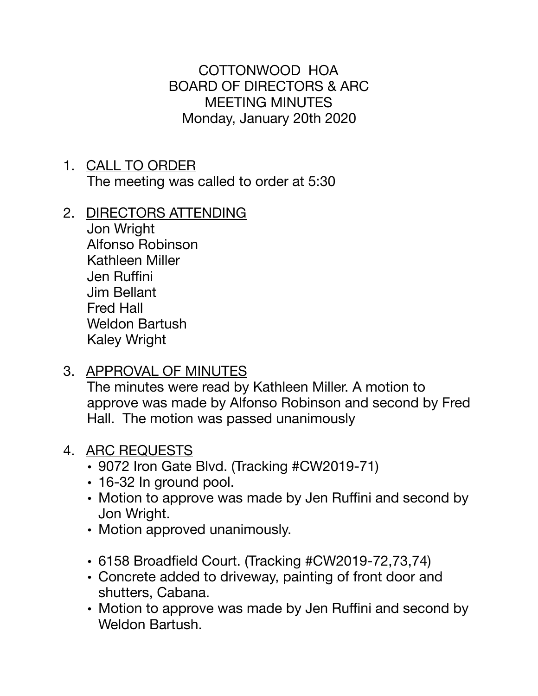COTTONWOOD HOA BOARD OF DIRECTORS & ARC MEETING MINUTES Monday, January 20th 2020

- 1. CALL TO ORDER The meeting was called to order at 5:30
- 2. DIRECTORS ATTENDING

Jon Wright Alfonso Robinson Kathleen Miller Jen Ruffini Jim Bellant Fred Hall Weldon Bartush Kaley Wright

3. APPROVAL OF MINUTES

The minutes were read by Kathleen Miller. A motion to approve was made by Alfonso Robinson and second by Fred Hall. The motion was passed unanimously

## 4. ARC REQUESTS

- 9072 Iron Gate Blvd. (Tracking #CW2019-71)
- 16-32 In ground pool.
- Motion to approve was made by Jen Ruffini and second by Jon Wright.
- Motion approved unanimously.
- 6158 Broadfield Court. (Tracking #CW2019-72,73,74)
- Concrete added to driveway, painting of front door and shutters, Cabana.
- Motion to approve was made by Jen Ruffini and second by Weldon Bartush.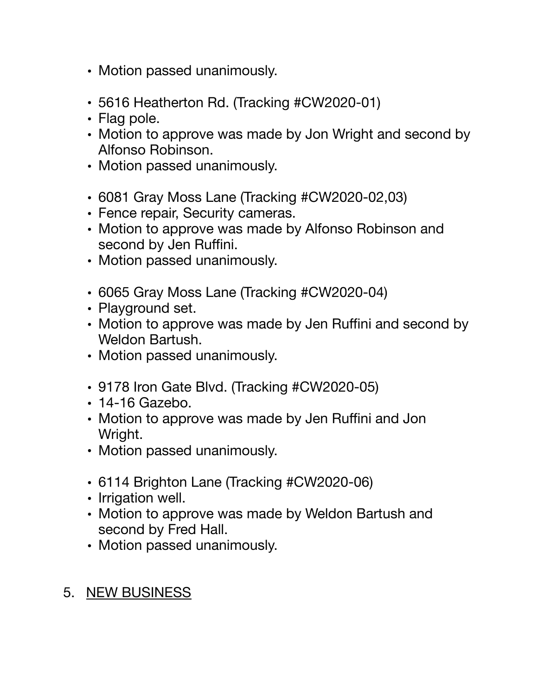- Motion passed unanimously.
- 5616 Heatherton Rd. (Tracking #CW2020-01)
- Flag pole.
- Motion to approve was made by Jon Wright and second by Alfonso Robinson.
- Motion passed unanimously.
- 6081 Gray Moss Lane (Tracking #CW2020-02,03)
- Fence repair, Security cameras.
- Motion to approve was made by Alfonso Robinson and second by Jen Ruffini.
- Motion passed unanimously.
- 6065 Gray Moss Lane (Tracking #CW2020-04)
- Playground set.
- Motion to approve was made by Jen Ruffini and second by Weldon Bartush.
- Motion passed unanimously.
- 9178 Iron Gate Blvd. (Tracking #CW2020-05)
- 14-16 Gazebo.
- Motion to approve was made by Jen Ruffini and Jon Wright.
- Motion passed unanimously.
- 6114 Brighton Lane (Tracking #CW2020-06)
- Irrigation well.
- Motion to approve was made by Weldon Bartush and second by Fred Hall.
- Motion passed unanimously.
- 5. NEW BUSINESS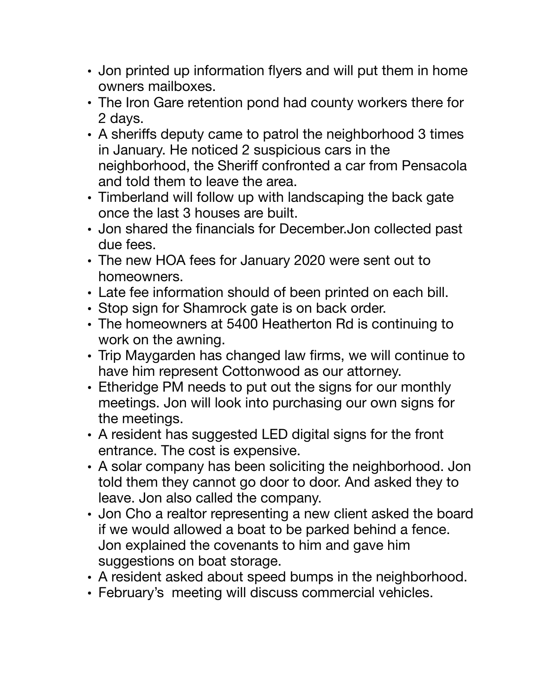- Jon printed up information flyers and will put them in home owners mailboxes.
- The Iron Gare retention pond had county workers there for 2 days.
- A sheriffs deputy came to patrol the neighborhood 3 times in January. He noticed 2 suspicious cars in the neighborhood, the Sheriff confronted a car from Pensacola and told them to leave the area.
- Timberland will follow up with landscaping the back gate once the last 3 houses are built.
- Jon shared the financials for December.Jon collected past due fees.
- The new HOA fees for January 2020 were sent out to homeowners.
- Late fee information should of been printed on each bill.
- Stop sign for Shamrock gate is on back order.
- The homeowners at 5400 Heatherton Rd is continuing to work on the awning.
- Trip Maygarden has changed law firms, we will continue to have him represent Cottonwood as our attorney.
- Etheridge PM needs to put out the signs for our monthly meetings. Jon will look into purchasing our own signs for the meetings.
- A resident has suggested LED digital signs for the front entrance. The cost is expensive.
- A solar company has been soliciting the neighborhood. Jon told them they cannot go door to door. And asked they to leave. Jon also called the company.
- Jon Cho a realtor representing a new client asked the board if we would allowed a boat to be parked behind a fence. Jon explained the covenants to him and gave him suggestions on boat storage.
- A resident asked about speed bumps in the neighborhood.
- February's meeting will discuss commercial vehicles.